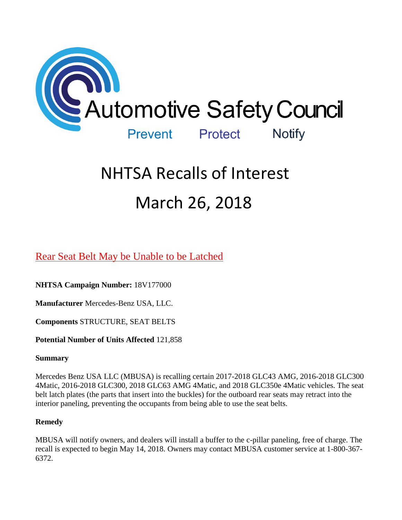

# NHTSA Recalls of Interest March 26, 2018

[Rear Seat Belt May be Unable to be Latched](https://www.nhtsa.gov/recalls?nhtsaId=18V177#recalls380) 

**NHTSA Campaign Number:** 18V177000

**Manufacturer** Mercedes-Benz USA, LLC.

**Components** STRUCTURE, SEAT BELTS

**Potential Number of Units Affected** 121,858

# **Summary**

Mercedes Benz USA LLC (MBUSA) is recalling certain 2017-2018 GLC43 AMG, 2016-2018 GLC300 4Matic, 2016-2018 GLC300, 2018 GLC63 AMG 4Matic, and 2018 GLC350e 4Matic vehicles. The seat belt latch plates (the parts that insert into the buckles) for the outboard rear seats may retract into the interior paneling, preventing the occupants from being able to use the seat belts.

# **Remedy**

MBUSA will notify owners, and dealers will install a buffer to the c-pillar paneling, free of charge. The recall is expected to begin May 14, 2018. Owners may contact MBUSA customer service at 1-800-367- 6372.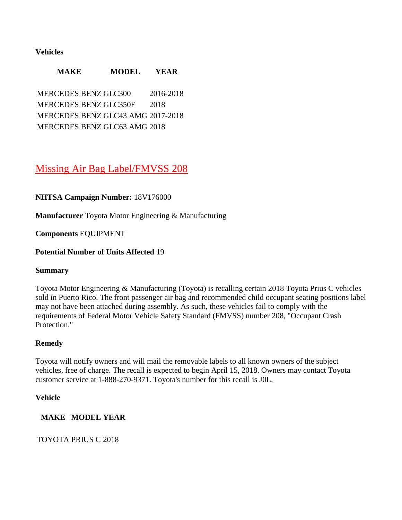# **Vehicles**

| <b>MAKE</b>                       | <b>MODEL</b> | <b>YEAR</b> |
|-----------------------------------|--------------|-------------|
| <b>MERCEDES BENZ GLC300</b>       |              | 2016-2018   |
| <b>MERCEDES BENZ GLC350E</b>      |              | 2018        |
| MERCEDES BENZ GLC43 AMG 2017-2018 |              |             |
| MERCEDES BENZ GLC63 AMG 2018      |              |             |

# [Missing Air Bag Label/FMVSS 208](https://www.nhtsa.gov/recalls?nhtsaId=18V176#recalls380)

# **NHTSA Campaign Number:** 18V176000

**Manufacturer** Toyota Motor Engineering & Manufacturing

**Components** EQUIPMENT

#### **Potential Number of Units Affected** 19

#### **Summary**

Toyota Motor Engineering & Manufacturing (Toyota) is recalling certain 2018 Toyota Prius C vehicles sold in Puerto Rico. The front passenger air bag and recommended child occupant seating positions label may not have been attached during assembly. As such, these vehicles fail to comply with the requirements of Federal Motor Vehicle Safety Standard (FMVSS) number 208, "Occupant Crash Protection."

#### **Remedy**

Toyota will notify owners and will mail the removable labels to all known owners of the subject vehicles, free of charge. The recall is expected to begin April 15, 2018. Owners may contact Toyota customer service at 1-888-270-9371. Toyota's number for this recall is J0L.

#### **Vehicle**

# **MAKE MODEL YEAR**

TOYOTA PRIUS C 2018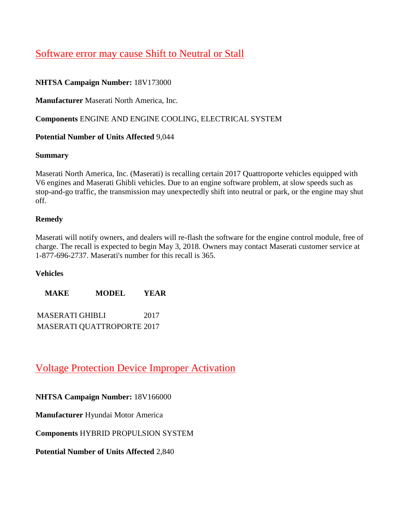# [Software error may cause Shift to Neutral or Stall](https://www.nhtsa.gov/recalls?nhtsaId=18V173#recalls380)

# **NHTSA Campaign Number:** 18V173000

**Manufacturer** Maserati North America, Inc.

**Components** ENGINE AND ENGINE COOLING, ELECTRICAL SYSTEM

# **Potential Number of Units Affected** 9,044

#### **Summary**

Maserati North America, Inc. (Maserati) is recalling certain 2017 Quattroporte vehicles equipped with V6 engines and Maserati Ghibli vehicles. Due to an engine software problem, at slow speeds such as stop-and-go traffic, the transmission may unexpectedly shift into neutral or park, or the engine may shut off.

# **Remedy**

Maserati will notify owners, and dealers will re-flash the software for the engine control module, free of charge. The recall is expected to begin May 3, 2018. Owners may contact Maserati customer service at 1-877-696-2737. Maserati's number for this recall is 365.

#### **Vehicles**

**MAKE MODEL YEAR**

MASERATI GHIBLI 2017 MASERATI QUATTROPORTE 2017

# [Voltage Protection Device Improper Activation](https://www.nhtsa.gov/recalls?nhtsaId=18V166#recalls380)

**NHTSA Campaign Number:** 18V166000

**Manufacturer** Hyundai Motor America

**Components** HYBRID PROPULSION SYSTEM

**Potential Number of Units Affected** 2,840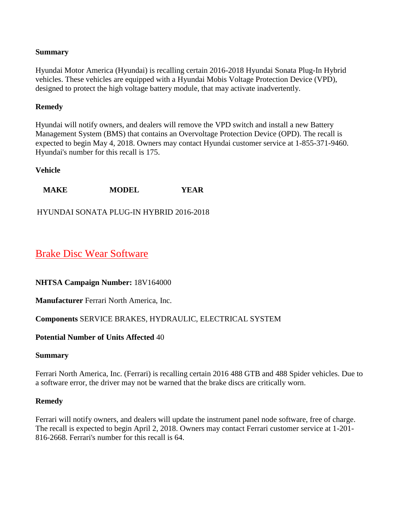# **Summary**

Hyundai Motor America (Hyundai) is recalling certain 2016-2018 Hyundai Sonata Plug-In Hybrid vehicles. These vehicles are equipped with a Hyundai Mobis Voltage Protection Device (VPD), designed to protect the high voltage battery module, that may activate inadvertently.

# **Remedy**

Hyundai will notify owners, and dealers will remove the VPD switch and install a new Battery Management System (BMS) that contains an Overvoltage Protection Device (OPD). The recall is expected to begin May 4, 2018. Owners may contact Hyundai customer service at 1-855-371-9460. Hyundai's number for this recall is 175.

#### **Vehicle**

**MAKE MODEL YEAR**

HYUNDAI SONATA PLUG-IN HYBRID 2016-2018

# [Brake Disc Wear Software](https://www.nhtsa.gov/recalls?nhtsaId=18V164#recalls380)

#### **NHTSA Campaign Number:** 18V164000

**Manufacturer** Ferrari North America, Inc.

# **Components** SERVICE BRAKES, HYDRAULIC, ELECTRICAL SYSTEM

#### **Potential Number of Units Affected** 40

#### **Summary**

Ferrari North America, Inc. (Ferrari) is recalling certain 2016 488 GTB and 488 Spider vehicles. Due to a software error, the driver may not be warned that the brake discs are critically worn.

#### **Remedy**

Ferrari will notify owners, and dealers will update the instrument panel node software, free of charge. The recall is expected to begin April 2, 2018. Owners may contact Ferrari customer service at 1-201- 816-2668. Ferrari's number for this recall is 64.